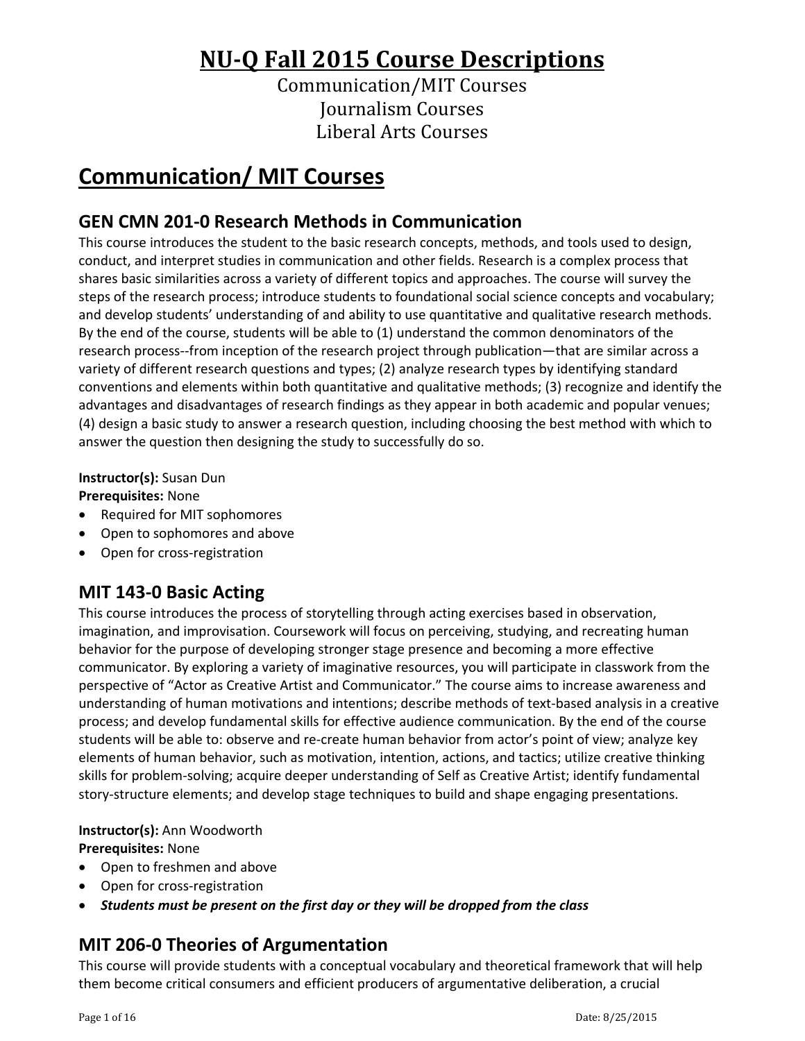# **NU‐Q Fall 2015 Course Descriptions**

Communication/MIT Courses Journalism Courses Liberal Arts Courses

# **Communication/ MIT Courses**

# **GEN CMN 201‐0 Research Methods in Communication**

This course introduces the student to the basic research concepts, methods, and tools used to design, conduct, and interpret studies in communication and other fields. Research is a complex process that shares basic similarities across a variety of different topics and approaches. The course will survey the steps of the research process; introduce students to foundational social science concepts and vocabulary; and develop students' understanding of and ability to use quantitative and qualitative research methods. By the end of the course, students will be able to (1) understand the common denominators of the research process‐‐from inception of the research project through publication—that are similar across a variety of different research questions and types; (2) analyze research types by identifying standard conventions and elements within both quantitative and qualitative methods; (3) recognize and identify the advantages and disadvantages of research findings as they appear in both academic and popular venues; (4) design a basic study to answer a research question, including choosing the best method with which to answer the question then designing the study to successfully do so.

### **Instructor(s):** Susan Dun

**Prerequisites:** None

- Required for MIT sophomores
- Open to sophomores and above
- Open for cross-registration

# **MIT 143‐0 Basic Acting**

This course introduces the process of storytelling through acting exercises based in observation, imagination, and improvisation. Coursework will focus on perceiving, studying, and recreating human behavior for the purpose of developing stronger stage presence and becoming a more effective communicator. By exploring a variety of imaginative resources, you will participate in classwork from the perspective of "Actor as Creative Artist and Communicator." The course aims to increase awareness and understanding of human motivations and intentions; describe methods of text‐based analysis in a creative process; and develop fundamental skills for effective audience communication. By the end of the course students will be able to: observe and re‐create human behavior from actor's point of view; analyze key elements of human behavior, such as motivation, intention, actions, and tactics; utilize creative thinking skills for problem‐solving; acquire deeper understanding of Self as Creative Artist; identify fundamental story‐structure elements; and develop stage techniques to build and shape engaging presentations.

#### **Instructor(s):** Ann Woodworth

**Prerequisites:** None

- Open to freshmen and above
- Open for cross-registration
- *Students must be present on the first day or they will be dropped from the class*

# **MIT 206‐0 Theories of Argumentation**

This course will provide students with a conceptual vocabulary and theoretical framework that will help them become critical consumers and efficient producers of argumentative deliberation, a crucial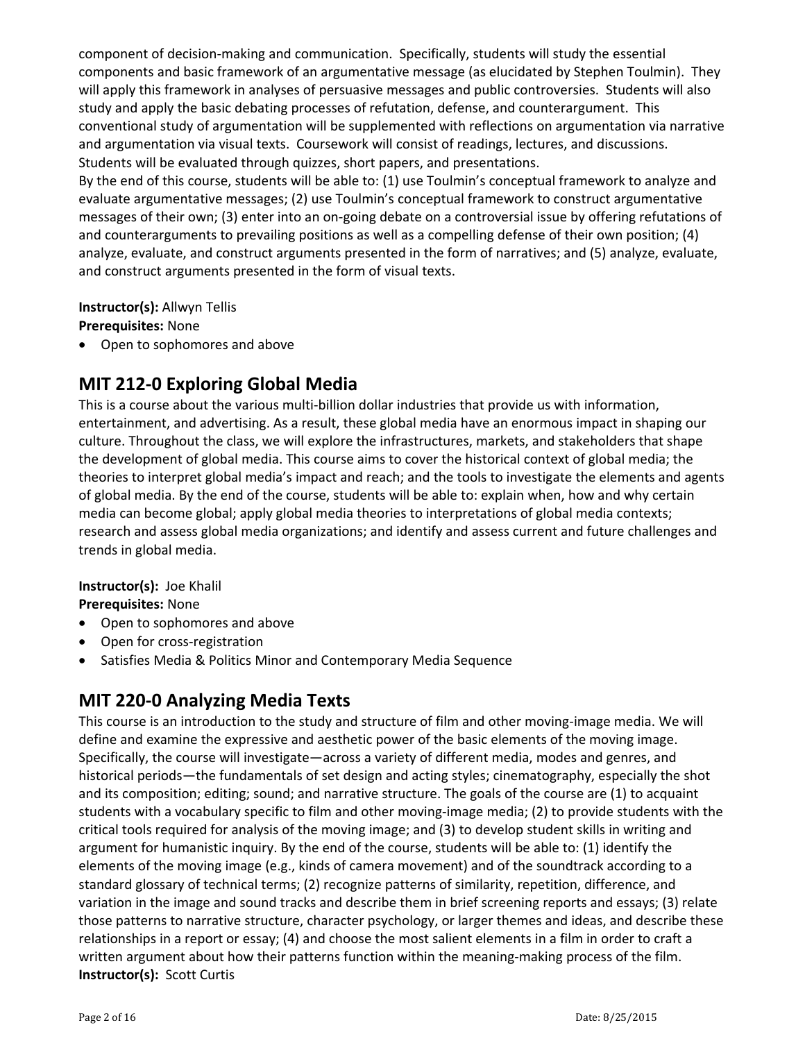component of decision-making and communication. Specifically, students will study the essential components and basic framework of an argumentative message (as elucidated by Stephen Toulmin). They will apply this framework in analyses of persuasive messages and public controversies. Students will also study and apply the basic debating processes of refutation, defense, and counterargument. This conventional study of argumentation will be supplemented with reflections on argumentation via narrative and argumentation via visual texts. Coursework will consist of readings, lectures, and discussions. Students will be evaluated through quizzes, short papers, and presentations.

By the end of this course, students will be able to: (1) use Toulmin's conceptual framework to analyze and evaluate argumentative messages; (2) use Toulmin's conceptual framework to construct argumentative messages of their own; (3) enter into an on-going debate on a controversial issue by offering refutations of and counterarguments to prevailing positions as well as a compelling defense of their own position; (4) analyze, evaluate, and construct arguments presented in the form of narratives; and (5) analyze, evaluate, and construct arguments presented in the form of visual texts.

#### **Instructor(s):** Allwyn Tellis

**Prerequisites:** None

Open to sophomores and above

# **MIT 212‐0 Exploring Global Media**

This is a course about the various multi‐billion dollar industries that provide us with information, entertainment, and advertising. As a result, these global media have an enormous impact in shaping our culture. Throughout the class, we will explore the infrastructures, markets, and stakeholders that shape the development of global media. This course aims to cover the historical context of global media; the theories to interpret global media's impact and reach; and the tools to investigate the elements and agents of global media. By the end of the course, students will be able to: explain when, how and why certain media can become global; apply global media theories to interpretations of global media contexts; research and assess global media organizations; and identify and assess current and future challenges and trends in global media.

# **Instructor(s):** Joe Khalil

**Prerequisites:** None

- Open to sophomores and above
- Open for cross-registration
- Satisfies Media & Politics Minor and Contemporary Media Sequence

# **MIT 220‐0 Analyzing Media Texts**

This course is an introduction to the study and structure of film and other moving-image media. We will define and examine the expressive and aesthetic power of the basic elements of the moving image. Specifically, the course will investigate—across a variety of different media, modes and genres, and historical periods—the fundamentals of set design and acting styles; cinematography, especially the shot and its composition; editing; sound; and narrative structure. The goals of the course are (1) to acquaint students with a vocabulary specific to film and other moving-image media; (2) to provide students with the critical tools required for analysis of the moving image; and (3) to develop student skills in writing and argument for humanistic inquiry. By the end of the course, students will be able to: (1) identify the elements of the moving image (e.g., kinds of camera movement) and of the soundtrack according to a standard glossary of technical terms; (2) recognize patterns of similarity, repetition, difference, and variation in the image and sound tracks and describe them in brief screening reports and essays; (3) relate those patterns to narrative structure, character psychology, or larger themes and ideas, and describe these relationships in a report or essay; (4) and choose the most salient elements in a film in order to craft a written argument about how their patterns function within the meaning-making process of the film. **Instructor(s): Scott Curtis**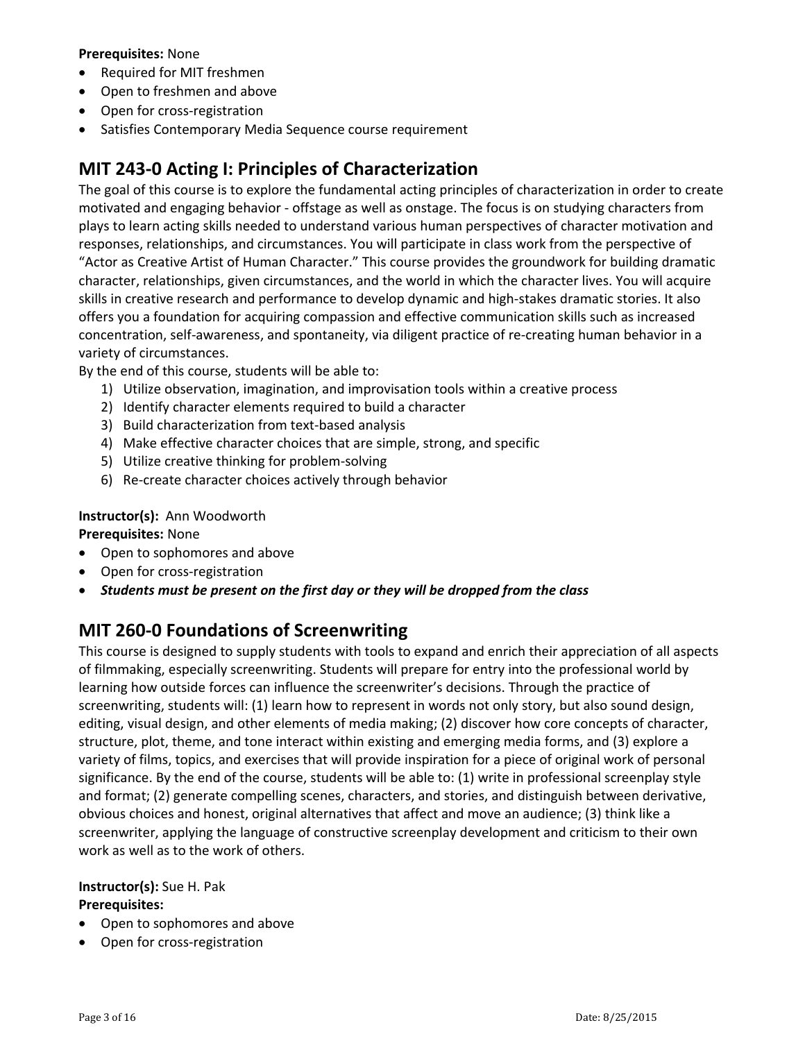#### **Prerequisites:** None

- Required for MIT freshmen
- Open to freshmen and above
- Open for cross-registration
- Satisfies Contemporary Media Sequence course requirement

### **MIT 243‐0 Acting I: Principles of Characterization**

The goal of this course is to explore the fundamental acting principles of characterization in order to create motivated and engaging behavior ‐ offstage as well as onstage. The focus is on studying characters from plays to learn acting skills needed to understand various human perspectives of character motivation and responses, relationships, and circumstances. You will participate in class work from the perspective of "Actor as Creative Artist of Human Character." This course provides the groundwork for building dramatic character, relationships, given circumstances, and the world in which the character lives. You will acquire skills in creative research and performance to develop dynamic and high‐stakes dramatic stories. It also offers you a foundation for acquiring compassion and effective communication skills such as increased concentration, self‐awareness, and spontaneity, via diligent practice of re‐creating human behavior in a variety of circumstances.

By the end of this course, students will be able to:

- 1) Utilize observation, imagination, and improvisation tools within a creative process
- 2) Identify character elements required to build a character
- 3) Build characterization from text-based analysis
- 4) Make effective character choices that are simple, strong, and specific
- 5) Utilize creative thinking for problem-solving
- 6) Re‐create character choices actively through behavior

#### **Instructor(s):** Ann Woodworth

#### **Prerequisites:** None

- Open to sophomores and above
- Open for cross-registration
- *Students must be present on the first day or they will be dropped from the class*

### **MIT 260‐0 Foundations of Screenwriting**

This course is designed to supply students with tools to expand and enrich their appreciation of all aspects of filmmaking, especially screenwriting. Students will prepare for entry into the professional world by learning how outside forces can influence the screenwriter's decisions. Through the practice of screenwriting, students will: (1) learn how to represent in words not only story, but also sound design, editing, visual design, and other elements of media making; (2) discover how core concepts of character, structure, plot, theme, and tone interact within existing and emerging media forms, and (3) explore a variety of films, topics, and exercises that will provide inspiration for a piece of original work of personal significance. By the end of the course, students will be able to: (1) write in professional screenplay style and format; (2) generate compelling scenes, characters, and stories, and distinguish between derivative, obvious choices and honest, original alternatives that affect and move an audience; (3) think like a screenwriter, applying the language of constructive screenplay development and criticism to their own work as well as to the work of others.

### **Instructor(s):** Sue H. Pak

#### **Prerequisites:**

- Open to sophomores and above
- Open for cross-registration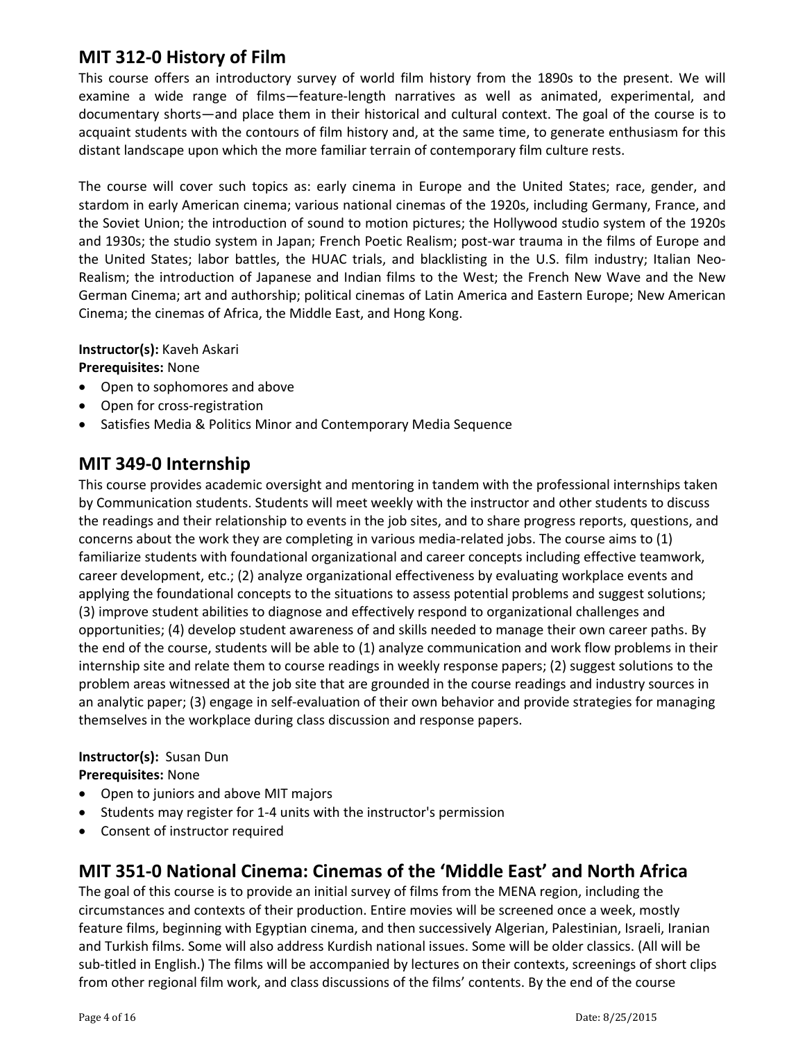# **MIT 312‐0 History of Film**

This course offers an introductory survey of world film history from the 1890s to the present. We will examine a wide range of films—feature‐length narratives as well as animated, experimental, and documentary shorts—and place them in their historical and cultural context. The goal of the course is to acquaint students with the contours of film history and, at the same time, to generate enthusiasm for this distant landscape upon which the more familiar terrain of contemporary film culture rests.

The course will cover such topics as: early cinema in Europe and the United States; race, gender, and stardom in early American cinema; various national cinemas of the 1920s, including Germany, France, and the Soviet Union; the introduction of sound to motion pictures; the Hollywood studio system of the 1920s and 1930s; the studio system in Japan; French Poetic Realism; post-war trauma in the films of Europe and the United States; labor battles, the HUAC trials, and blacklisting in the U.S. film industry; Italian Neo-Realism; the introduction of Japanese and Indian films to the West; the French New Wave and the New German Cinema; art and authorship; political cinemas of Latin America and Eastern Europe; New American Cinema; the cinemas of Africa, the Middle East, and Hong Kong.

**Instructor(s):** Kaveh Askari

**Prerequisites:** None

- Open to sophomores and above
- Open for cross-registration
- Satisfies Media & Politics Minor and Contemporary Media Sequence

# **MIT 349‐0 Internship**

This course provides academic oversight and mentoring in tandem with the professional internships taken by Communication students. Students will meet weekly with the instructor and other students to discuss the readings and their relationship to events in the job sites, and to share progress reports, questions, and concerns about the work they are completing in various media‐related jobs. The course aims to (1) familiarize students with foundational organizational and career concepts including effective teamwork, career development, etc.; (2) analyze organizational effectiveness by evaluating workplace events and applying the foundational concepts to the situations to assess potential problems and suggest solutions; (3) improve student abilities to diagnose and effectively respond to organizational challenges and opportunities; (4) develop student awareness of and skills needed to manage their own career paths. By the end of the course, students will be able to (1) analyze communication and work flow problems in their internship site and relate them to course readings in weekly response papers; (2) suggest solutions to the problem areas witnessed at the job site that are grounded in the course readings and industry sources in an analytic paper; (3) engage in self‐evaluation of their own behavior and provide strategies for managing themselves in the workplace during class discussion and response papers.

#### **Instructor(s):** Susan Dun **Prerequisites:** None

- Open to juniors and above MIT majors
- Students may register for 1-4 units with the instructor's permission
- Consent of instructor required

# **MIT 351‐0 National Cinema: Cinemas of the 'Middle East' and North Africa**

The goal of this course is to provide an initial survey of films from the MENA region, including the circumstances and contexts of their production. Entire movies will be screened once a week, mostly feature films, beginning with Egyptian cinema, and then successively Algerian, Palestinian, Israeli, Iranian and Turkish films. Some will also address Kurdish national issues. Some will be older classics. (All will be sub-titled in English.) The films will be accompanied by lectures on their contexts, screenings of short clips from other regional film work, and class discussions of the films' contents. By the end of the course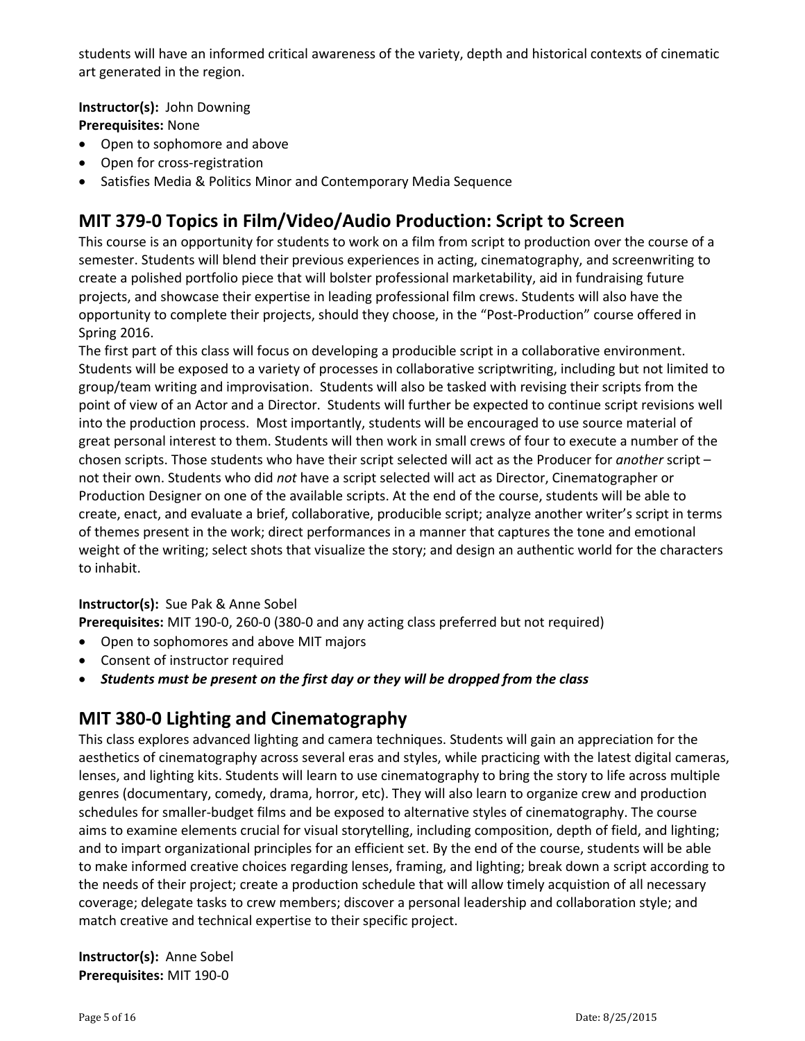students will have an informed critical awareness of the variety, depth and historical contexts of cinematic art generated in the region.

**Instructor(s):** John Downing

**Prerequisites:** None

- Open to sophomore and above
- Open for cross-registration
- Satisfies Media & Politics Minor and Contemporary Media Sequence

# **MIT 379‐0 Topics in Film/Video/Audio Production: Script to Screen**

This course is an opportunity for students to work on a film from script to production over the course of a semester. Students will blend their previous experiences in acting, cinematography, and screenwriting to create a polished portfolio piece that will bolster professional marketability, aid in fundraising future projects, and showcase their expertise in leading professional film crews. Students will also have the opportunity to complete their projects, should they choose, in the "Post‐Production" course offered in Spring 2016.

The first part of this class will focus on developing a producible script in a collaborative environment. Students will be exposed to a variety of processes in collaborative scriptwriting, including but not limited to group/team writing and improvisation. Students will also be tasked with revising their scripts from the point of view of an Actor and a Director. Students will further be expected to continue script revisions well into the production process. Most importantly, students will be encouraged to use source material of great personal interest to them. Students will then work in small crews of four to execute a number of the chosen scripts. Those students who have their script selected will act as the Producer for *another* script – not their own. Students who did *not* have a script selected will act as Director, Cinematographer or Production Designer on one of the available scripts. At the end of the course, students will be able to create, enact, and evaluate a brief, collaborative, producible script; analyze another writer's script in terms of themes present in the work; direct performances in a manner that captures the tone and emotional weight of the writing; select shots that visualize the story; and design an authentic world for the characters to inhabit.

#### **Instructor(s):** Sue Pak & Anne Sobel

**Prerequisites:** MIT 190‐0, 260‐0 (380‐0 and any acting class preferred but not required)

- Open to sophomores and above MIT majors
- Consent of instructor required
- *Students must be present on the first day or they will be dropped from the class*

# **MIT 380‐0 Lighting and Cinematography**

This class explores advanced lighting and camera techniques. Students will gain an appreciation for the aesthetics of cinematography across several eras and styles, while practicing with the latest digital cameras, lenses, and lighting kits. Students will learn to use cinematography to bring the story to life across multiple genres (documentary, comedy, drama, horror, etc). They will also learn to organize crew and production schedules for smaller‐budget films and be exposed to alternative styles of cinematography. The course aims to examine elements crucial for visual storytelling, including composition, depth of field, and lighting; and to impart organizational principles for an efficient set. By the end of the course, students will be able to make informed creative choices regarding lenses, framing, and lighting; break down a script according to the needs of their project; create a production schedule that will allow timely acquistion of all necessary coverage; delegate tasks to crew members; discover a personal leadership and collaboration style; and match creative and technical expertise to their specific project.

**Instructor(s):** Anne Sobel **Prerequisites:** MIT 190‐0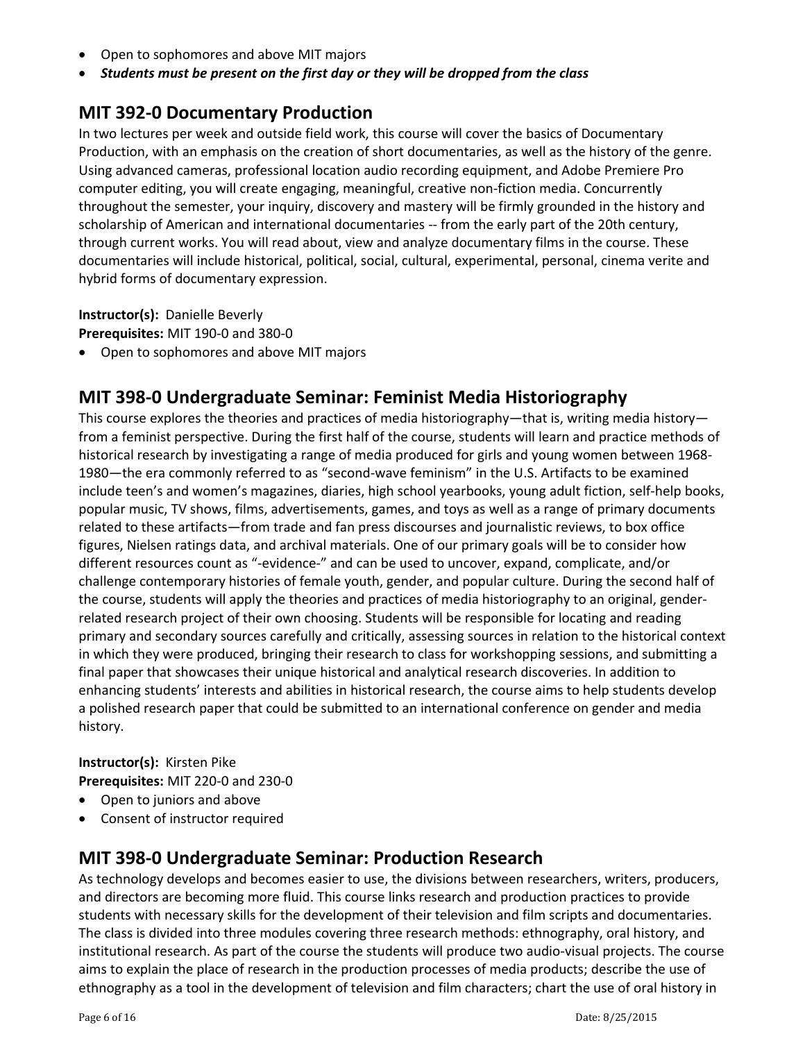- Open to sophomores and above MIT majors
- *Students must be present on the first day or they will be dropped from the class*

### **MIT 392‐0 Documentary Production**

In two lectures per week and outside field work, this course will cover the basics of Documentary Production, with an emphasis on the creation of short documentaries, as well as the history of the genre. Using advanced cameras, professional location audio recording equipment, and Adobe Premiere Pro computer editing, you will create engaging, meaningful, creative non-fiction media. Concurrently throughout the semester, your inquiry, discovery and mastery will be firmly grounded in the history and scholarship of American and international documentaries -- from the early part of the 20th century, through current works. You will read about, view and analyze documentary films in the course. These documentaries will include historical, political, social, cultural, experimental, personal, cinema verite and hybrid forms of documentary expression.

**Instructor(s):** Danielle Beverly **Prerequisites:** MIT 190‐0 and 380‐0

Open to sophomores and above MIT majors

# **MIT 398‐0 Undergraduate Seminar: Feminist Media Historiography**

This course explores the theories and practices of media historiography—that is, writing media history from a feminist perspective. During the first half of the course, students will learn and practice methods of historical research by investigating a range of media produced for girls and young women between 1968‐ 1980—the era commonly referred to as "second‐wave feminism" in the U.S. Artifacts to be examined include teen's and women's magazines, diaries, high school yearbooks, young adult fiction, self-help books, popular music, TV shows, films, advertisements, games, and toys as well as a range of primary documents related to these artifacts—from trade and fan press discourses and journalistic reviews, to box office figures, Nielsen ratings data, and archival materials. One of our primary goals will be to consider how different resources count as "‐evidence‐" and can be used to uncover, expand, complicate, and/or challenge contemporary histories of female youth, gender, and popular culture. During the second half of the course, students will apply the theories and practices of media historiography to an original, gender‐ related research project of their own choosing. Students will be responsible for locating and reading primary and secondary sources carefully and critically, assessing sources in relation to the historical context in which they were produced, bringing their research to class for workshopping sessions, and submitting a final paper that showcases their unique historical and analytical research discoveries. In addition to enhancing students' interests and abilities in historical research, the course aims to help students develop a polished research paper that could be submitted to an international conference on gender and media history.

#### **Instructor(s):** Kirsten Pike **Prerequisites:** MIT 220‐0 and 230‐0

- Open to juniors and above
- Consent of instructor required

### **MIT 398‐0 Undergraduate Seminar: Production Research**

As technology develops and becomes easier to use, the divisions between researchers, writers, producers, and directors are becoming more fluid. This course links research and production practices to provide students with necessary skills for the development of their television and film scripts and documentaries. The class is divided into three modules covering three research methods: ethnography, oral history, and institutional research. As part of the course the students will produce two audio‐visual projects. The course aims to explain the place of research in the production processes of media products; describe the use of ethnography as a tool in the development of television and film characters; chart the use of oral history in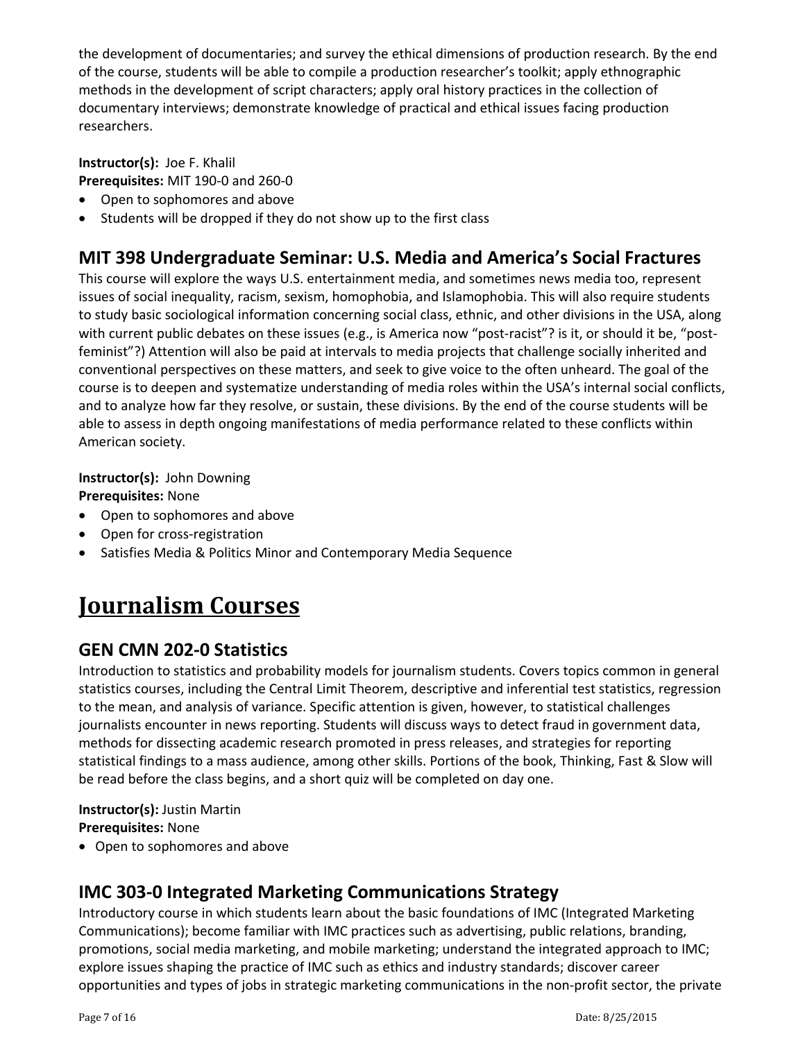the development of documentaries; and survey the ethical dimensions of production research. By the end of the course, students will be able to compile a production researcher's toolkit; apply ethnographic methods in the development of script characters; apply oral history practices in the collection of documentary interviews; demonstrate knowledge of practical and ethical issues facing production researchers.

**Instructor(s):** Joe F. Khalil **Prerequisites:** MIT 190‐0 and 260‐0

- Open to sophomores and above
- Students will be dropped if they do not show up to the first class

# **MIT 398 Undergraduate Seminar: U.S. Media and America's Social Fractures**

This course will explore the ways U.S. entertainment media, and sometimes news media too, represent issues of social inequality, racism, sexism, homophobia, and Islamophobia. This will also require students to study basic sociological information concerning social class, ethnic, and other divisions in the USA, along with current public debates on these issues (e.g., is America now "post-racist"? is it, or should it be, "postfeminist"?) Attention will also be paid at intervals to media projects that challenge socially inherited and conventional perspectives on these matters, and seek to give voice to the often unheard. The goal of the course is to deepen and systematize understanding of media roles within the USA's internal social conflicts, and to analyze how far they resolve, or sustain, these divisions. By the end of the course students will be able to assess in depth ongoing manifestations of media performance related to these conflicts within American society.

**Instructor(s):** John Downing

**Prerequisites:** None

- Open to sophomores and above
- Open for cross-registration
- Satisfies Media & Politics Minor and Contemporary Media Sequence

# **Journalism Courses**

# **GEN CMN 202‐0 Statistics**

Introduction to statistics and probability models for journalism students. Covers topics common in general statistics courses, including the Central Limit Theorem, descriptive and inferential test statistics, regression to the mean, and analysis of variance. Specific attention is given, however, to statistical challenges journalists encounter in news reporting. Students will discuss ways to detect fraud in government data, methods for dissecting academic research promoted in press releases, and strategies for reporting statistical findings to a mass audience, among other skills. Portions of the book, Thinking, Fast & Slow will be read before the class begins, and a short quiz will be completed on day one.

#### **Instructor(s):** Justin Martin **Prerequisites:** None

Open to sophomores and above

# **IMC 303‐0 Integrated Marketing Communications Strategy**

Introductory course in which students learn about the basic foundations of IMC (Integrated Marketing Communications); become familiar with IMC practices such as advertising, public relations, branding, promotions, social media marketing, and mobile marketing; understand the integrated approach to IMC; explore issues shaping the practice of IMC such as ethics and industry standards; discover career opportunities and types of jobs in strategic marketing communications in the non‐profit sector, the private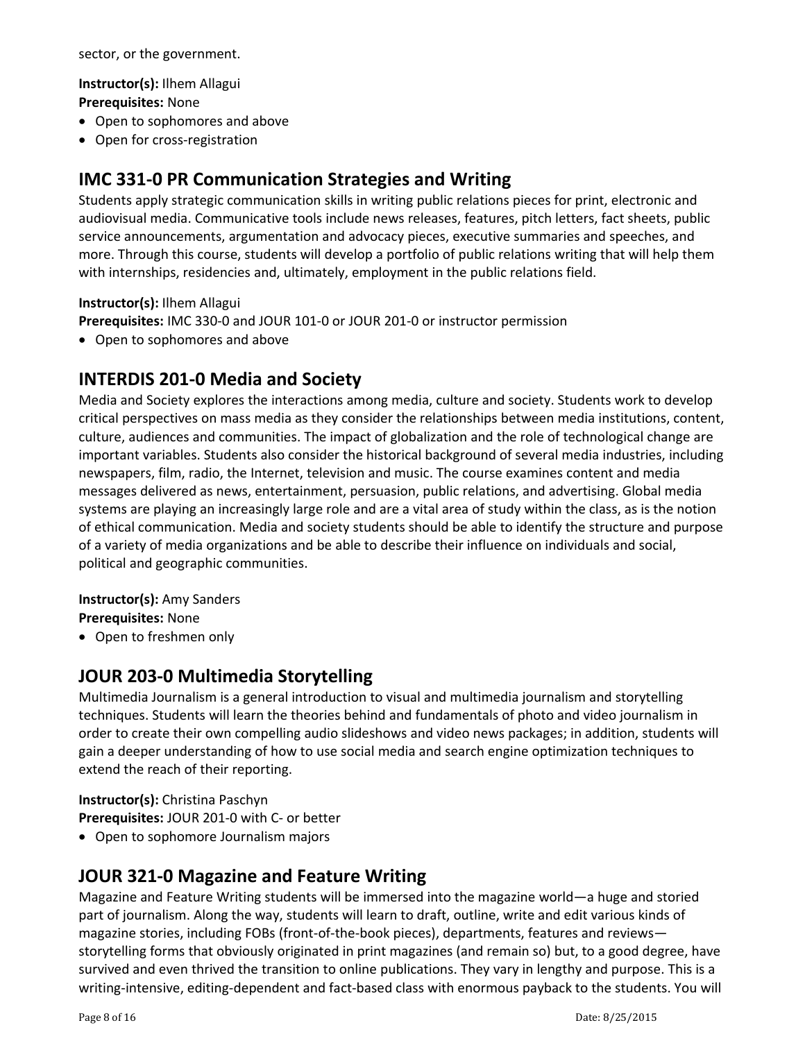sector, or the government.

**Instructor(s):** Ilhem Allagui **Prerequisites:** None

- Open to sophomores and above
- Open for cross-registration

# **IMC 331‐0 PR Communication Strategies and Writing**

Students apply strategic communication skills in writing public relations pieces for print, electronic and audiovisual media. Communicative tools include news releases, features, pitch letters, fact sheets, public service announcements, argumentation and advocacy pieces, executive summaries and speeches, and more. Through this course, students will develop a portfolio of public relations writing that will help them with internships, residencies and, ultimately, employment in the public relations field.

#### **Instructor(s):** Ilhem Allagui

**Prerequisites:** IMC 330‐0 and JOUR 101‐0 or JOUR 201‐0 or instructor permission

• Open to sophomores and above

### **INTERDIS 201‐0 Media and Society**

Media and Society explores the interactions among media, culture and society. Students work to develop critical perspectives on mass media as they consider the relationships between media institutions, content, culture, audiences and communities. The impact of globalization and the role of technological change are important variables. Students also consider the historical background of several media industries, including newspapers, film, radio, the Internet, television and music. The course examines content and media messages delivered as news, entertainment, persuasion, public relations, and advertising. Global media systems are playing an increasingly large role and are a vital area of study within the class, as is the notion of ethical communication. Media and society students should be able to identify the structure and purpose of a variety of media organizations and be able to describe their influence on individuals and social, political and geographic communities.

#### **Instructor(s):** Amy Sanders

**Prerequisites:** None

Open to freshmen only

### **JOUR 203‐0 Multimedia Storytelling**

Multimedia Journalism is a general introduction to visual and multimedia journalism and storytelling techniques. Students will learn the theories behind and fundamentals of photo and video journalism in order to create their own compelling audio slideshows and video news packages; in addition, students will gain a deeper understanding of how to use social media and search engine optimization techniques to extend the reach of their reporting.

**Instructor(s):** Christina Paschyn **Prerequisites:** JOUR 201‐0 with C‐ or better

Open to sophomore Journalism majors

# **JOUR 321‐0 Magazine and Feature Writing**

Magazine and Feature Writing students will be immersed into the magazine world—a huge and storied part of journalism. Along the way, students will learn to draft, outline, write and edit various kinds of magazine stories, including FOBs (front-of-the-book pieces), departments, features and reviews storytelling forms that obviously originated in print magazines (and remain so) but, to a good degree, have survived and even thrived the transition to online publications. They vary in lengthy and purpose. This is a writing-intensive, editing-dependent and fact-based class with enormous payback to the students. You will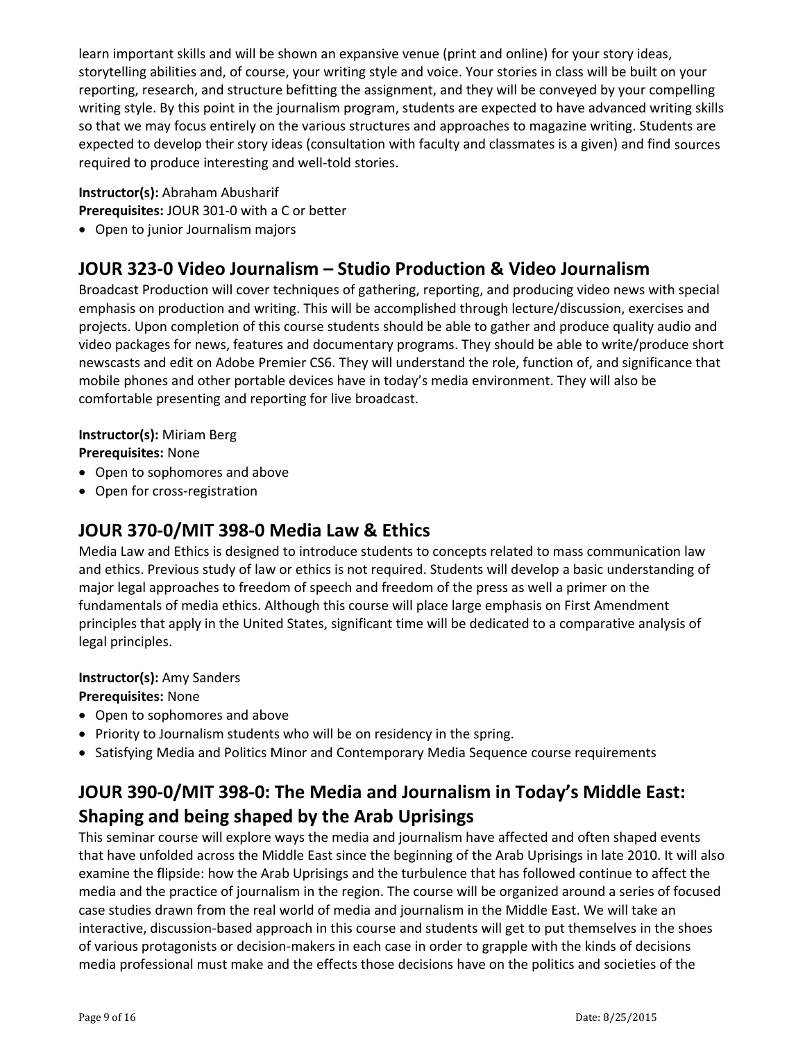learn important skills and will be shown an expansive venue (print and online) for your story ideas, storytelling abilities and, of course, your writing style and voice. Your stories in class will be built on your reporting, research, and structure befitting the assignment, and they will be conveyed by your compelling writing style. By this point in the journalism program, students are expected to have advanced writing skills so that we may focus entirely on the various structures and approaches to magazine writing. Students are expected to develop their story ideas (consultation with faculty and classmates is a given) and find sources required to produce interesting and well-told stories.

#### **Instructor(s):** Abraham Abusharif

**Prerequisites:** JOUR 301‐0 with a C or better

Open to junior Journalism majors

# **JOUR 323‐0 Video Journalism – Studio Production & Video Journalism**

Broadcast Production will cover techniques of gathering, reporting, and producing video news with special emphasis on production and writing. This will be accomplished through lecture/discussion, exercises and projects. Upon completion of this course students should be able to gather and produce quality audio and video packages for news, features and documentary programs. They should be able to write/produce short newscasts and edit on Adobe Premier CS6. They will understand the role, function of, and significance that mobile phones and other portable devices have in today's media environment. They will also be comfortable presenting and reporting for live broadcast.

#### **Instructor(s):** Miriam Berg

**Prerequisites:** None

- Open to sophomores and above
- Open for cross-registration

## **JOUR 370‐0/MIT 398‐0 Media Law & Ethics**

Media Law and Ethics is designed to introduce students to concepts related to mass communication law and ethics. Previous study of law or ethics is not required. Students will develop a basic understanding of major legal approaches to freedom of speech and freedom of the press as well a primer on the fundamentals of media ethics. Although this course will place large emphasis on First Amendment principles that apply in the United States, significant time will be dedicated to a comparative analysis of legal principles.

#### **Instructor(s):** Amy Sanders

#### **Prerequisites:** None

- Open to sophomores and above
- Priority to Journalism students who will be on residency in the spring.
- Satisfying Media and Politics Minor and Contemporary Media Sequence course requirements

# **JOUR 390‐0/MIT 398‐0: The Media and Journalism in Today's Middle East: Shaping and being shaped by the Arab Uprisings**

This seminar course will explore ways the media and journalism have affected and often shaped events that have unfolded across the Middle East since the beginning of the Arab Uprisings in late 2010. It will also examine the flipside: how the Arab Uprisings and the turbulence that has followed continue to affect the media and the practice of journalism in the region. The course will be organized around a series of focused case studies drawn from the real world of media and journalism in the Middle East. We will take an interactive, discussion‐based approach in this course and students will get to put themselves in the shoes of various protagonists or decision‐makers in each case in order to grapple with the kinds of decisions media professional must make and the effects those decisions have on the politics and societies of the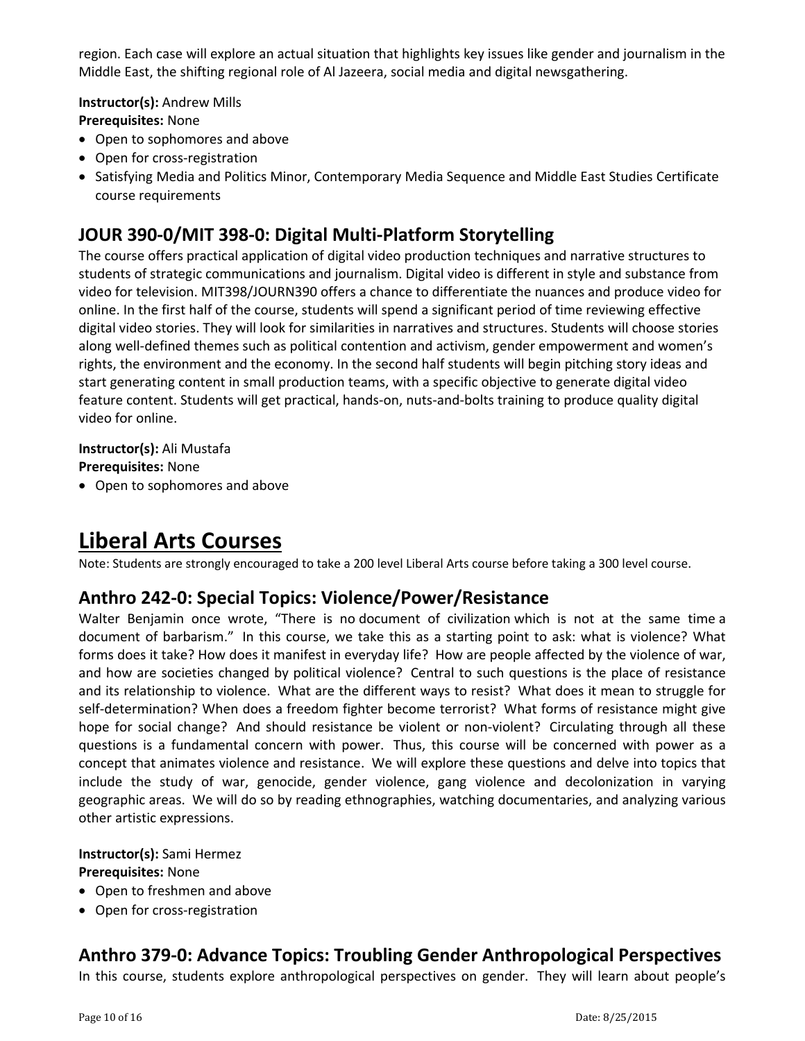region. Each case will explore an actual situation that highlights key issues like gender and journalism in the Middle East, the shifting regional role of Al Jazeera, social media and digital newsgathering.

**Instructor(s):** Andrew Mills **Prerequisites:** None

- Open to sophomores and above
- Open for cross-registration
- Satisfying Media and Politics Minor, Contemporary Media Sequence and Middle East Studies Certificate course requirements

## **JOUR 390‐0/MIT 398‐0: Digital Multi‐Platform Storytelling**

The course offers practical application of digital video production techniques and narrative structures to students of strategic communications and journalism. Digital video is different in style and substance from video for television. MIT398/JOURN390 offers a chance to differentiate the nuances and produce video for online. In the first half of the course, students will spend a significant period of time reviewing effective digital video stories. They will look for similarities in narratives and structures. Students will choose stories along well‐defined themes such as political contention and activism, gender empowerment and women's rights, the environment and the economy. In the second half students will begin pitching story ideas and start generating content in small production teams, with a specific objective to generate digital video feature content. Students will get practical, hands-on, nuts-and-bolts training to produce quality digital video for online.

**Instructor(s):** Ali Mustafa **Prerequisites:** None

• Open to sophomores and above

# **Liberal Arts Courses**

Note: Students are strongly encouraged to take a 200 level Liberal Arts course before taking a 300 level course.

# **Anthro 242‐0: Special Topics: Violence/Power/Resistance**

Walter Benjamin once wrote, "There is no document of civilization which is not at the same time a document of barbarism." In this course, we take this as a starting point to ask: what is violence? What forms does it take? How does it manifest in everyday life? How are people affected by the violence of war, and how are societies changed by political violence? Central to such questions is the place of resistance and its relationship to violence. What are the different ways to resist? What does it mean to struggle for self-determination? When does a freedom fighter become terrorist? What forms of resistance might give hope for social change? And should resistance be violent or non-violent? Circulating through all these questions is a fundamental concern with power. Thus, this course will be concerned with power as a concept that animates violence and resistance. We will explore these questions and delve into topics that include the study of war, genocide, gender violence, gang violence and decolonization in varying geographic areas. We will do so by reading ethnographies, watching documentaries, and analyzing various other artistic expressions.

#### **Instructor(s):** Sami Hermez

#### **Prerequisites:** None

- Open to freshmen and above
- Open for cross-registration

# **Anthro 379‐0: Advance Topics: Troubling Gender Anthropological Perspectives**

In this course, students explore anthropological perspectives on gender. They will learn about people's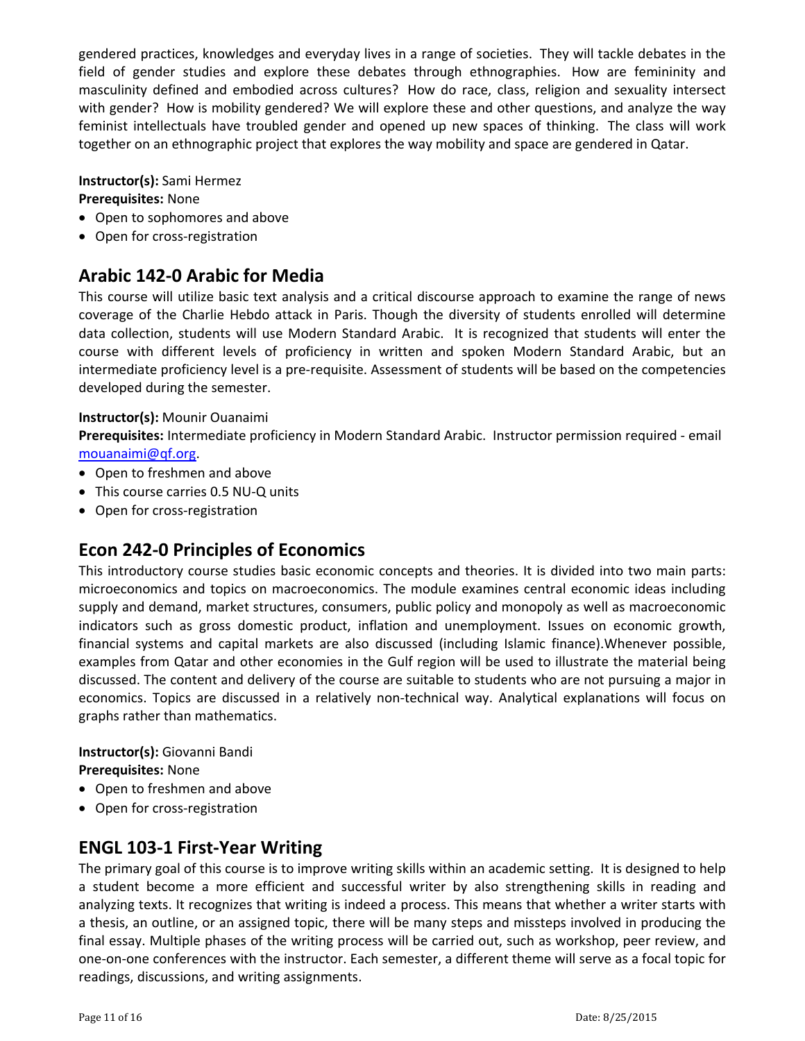gendered practices, knowledges and everyday lives in a range of societies. They will tackle debates in the field of gender studies and explore these debates through ethnographies. How are femininity and masculinity defined and embodied across cultures? How do race, class, religion and sexuality intersect with gender? How is mobility gendered? We will explore these and other questions, and analyze the way feminist intellectuals have troubled gender and opened up new spaces of thinking. The class will work together on an ethnographic project that explores the way mobility and space are gendered in Qatar.

#### **Instructor(s):** Sami Hermez

#### **Prerequisites:** None

- Open to sophomores and above
- Open for cross-registration

### **Arabic 142‐0 Arabic for Media**

This course will utilize basic text analysis and a critical discourse approach to examine the range of news coverage of the Charlie Hebdo attack in Paris. Though the diversity of students enrolled will determine data collection, students will use Modern Standard Arabic. It is recognized that students will enter the course with different levels of proficiency in written and spoken Modern Standard Arabic, but an intermediate proficiency level is a pre‐requisite. Assessment of students will be based on the competencies developed during the semester.

#### **Instructor(s):** Mounir Ouanaimi

**Prerequisites:** Intermediate proficiency in Modern Standard Arabic. Instructor permission required ‐ email mouanaimi@qf.org.

- Open to freshmen and above
- This course carries 0.5 NU-Q units
- Open for cross-registration

### **Econ 242‐0 Principles of Economics**

This introductory course studies basic economic concepts and theories. It is divided into two main parts: microeconomics and topics on macroeconomics. The module examines central economic ideas including supply and demand, market structures, consumers, public policy and monopoly as well as macroeconomic indicators such as gross domestic product, inflation and unemployment. Issues on economic growth, financial systems and capital markets are also discussed (including Islamic finance).Whenever possible, examples from Qatar and other economies in the Gulf region will be used to illustrate the material being discussed. The content and delivery of the course are suitable to students who are not pursuing a major in economics. Topics are discussed in a relatively non-technical way. Analytical explanations will focus on graphs rather than mathematics.

#### **Instructor(s):** Giovanni Bandi **Prerequisites:** None

- Open to freshmen and above
- Open for cross-registration

### **ENGL 103‐1 First‐Year Writing**

The primary goal of this course is to improve writing skills within an academic setting. It is designed to help a student become a more efficient and successful writer by also strengthening skills in reading and analyzing texts. It recognizes that writing is indeed a process. This means that whether a writer starts with a thesis, an outline, or an assigned topic, there will be many steps and missteps involved in producing the final essay. Multiple phases of the writing process will be carried out, such as workshop, peer review, and one‐on‐one conferences with the instructor. Each semester, a different theme will serve as a focal topic for readings, discussions, and writing assignments.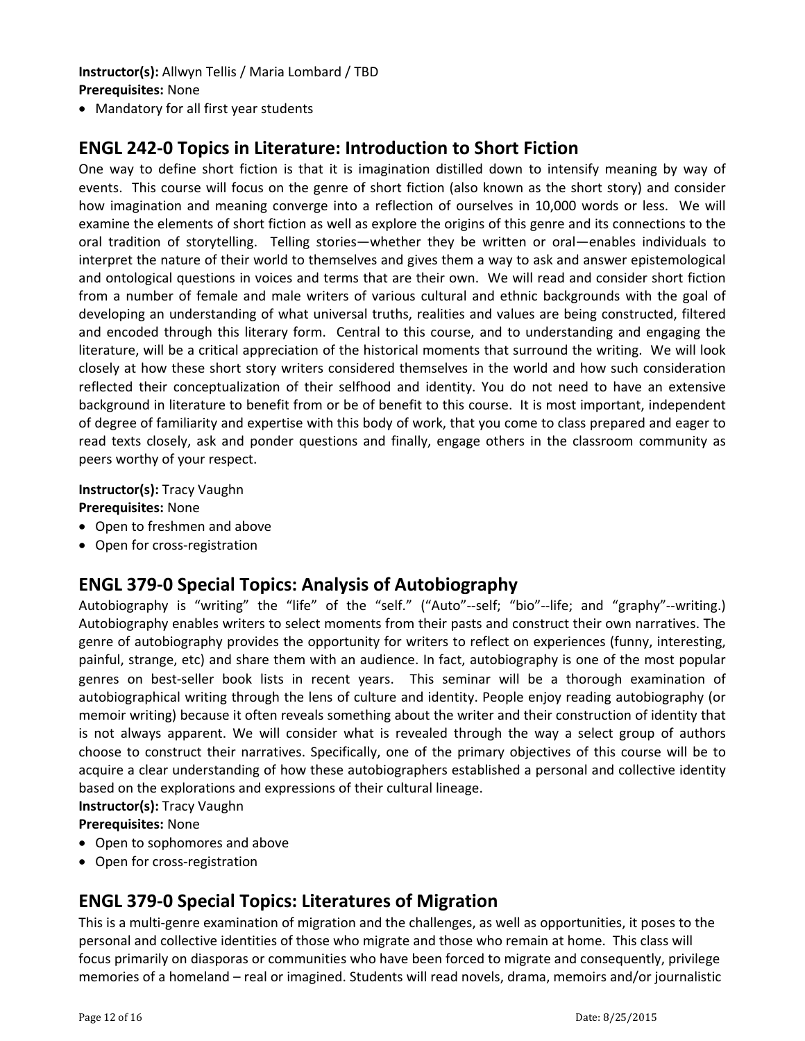#### **Instructor(s):** Allwyn Tellis / Maria Lombard / TBD **Prerequisites:** None

Mandatory for all first year students

### **ENGL 242‐0 Topics in Literature: Introduction to Short Fiction**

One way to define short fiction is that it is imagination distilled down to intensify meaning by way of events. This course will focus on the genre of short fiction (also known as the short story) and consider how imagination and meaning converge into a reflection of ourselves in 10,000 words or less. We will examine the elements of short fiction as well as explore the origins of this genre and its connections to the oral tradition of storytelling. Telling stories—whether they be written or oral—enables individuals to interpret the nature of their world to themselves and gives them a way to ask and answer epistemological and ontological questions in voices and terms that are their own. We will read and consider short fiction from a number of female and male writers of various cultural and ethnic backgrounds with the goal of developing an understanding of what universal truths, realities and values are being constructed, filtered and encoded through this literary form. Central to this course, and to understanding and engaging the literature, will be a critical appreciation of the historical moments that surround the writing. We will look closely at how these short story writers considered themselves in the world and how such consideration reflected their conceptualization of their selfhood and identity. You do not need to have an extensive background in literature to benefit from or be of benefit to this course. It is most important, independent of degree of familiarity and expertise with this body of work, that you come to class prepared and eager to read texts closely, ask and ponder questions and finally, engage others in the classroom community as peers worthy of your respect.

**Instructor(s):** Tracy Vaughn

**Prerequisites:** None

- Open to freshmen and above
- Open for cross-registration

### **ENGL 379‐0 Special Topics: Analysis of Autobiography**

Autobiography is "writing" the "life" of the "self." ("Auto"--self; "bio"--life; and "graphy"--writing.) Autobiography enables writers to select moments from their pasts and construct their own narratives. The genre of autobiography provides the opportunity for writers to reflect on experiences (funny, interesting, painful, strange, etc) and share them with an audience. In fact, autobiography is one of the most popular genres on best‐seller book lists in recent years. This seminar will be a thorough examination of autobiographical writing through the lens of culture and identity. People enjoy reading autobiography (or memoir writing) because it often reveals something about the writer and their construction of identity that is not always apparent. We will consider what is revealed through the way a select group of authors choose to construct their narratives. Specifically, one of the primary objectives of this course will be to acquire a clear understanding of how these autobiographers established a personal and collective identity based on the explorations and expressions of their cultural lineage.

#### **Instructor(s):** Tracy Vaughn

**Prerequisites:** None

- Open to sophomores and above
- Open for cross-registration

# **ENGL 379‐0 Special Topics: Literatures of Migration**

This is a multi‐genre examination of migration and the challenges, as well as opportunities, it poses to the personal and collective identities of those who migrate and those who remain at home. This class will focus primarily on diasporas or communities who have been forced to migrate and consequently, privilege memories of a homeland – real or imagined. Students will read novels, drama, memoirs and/or journalistic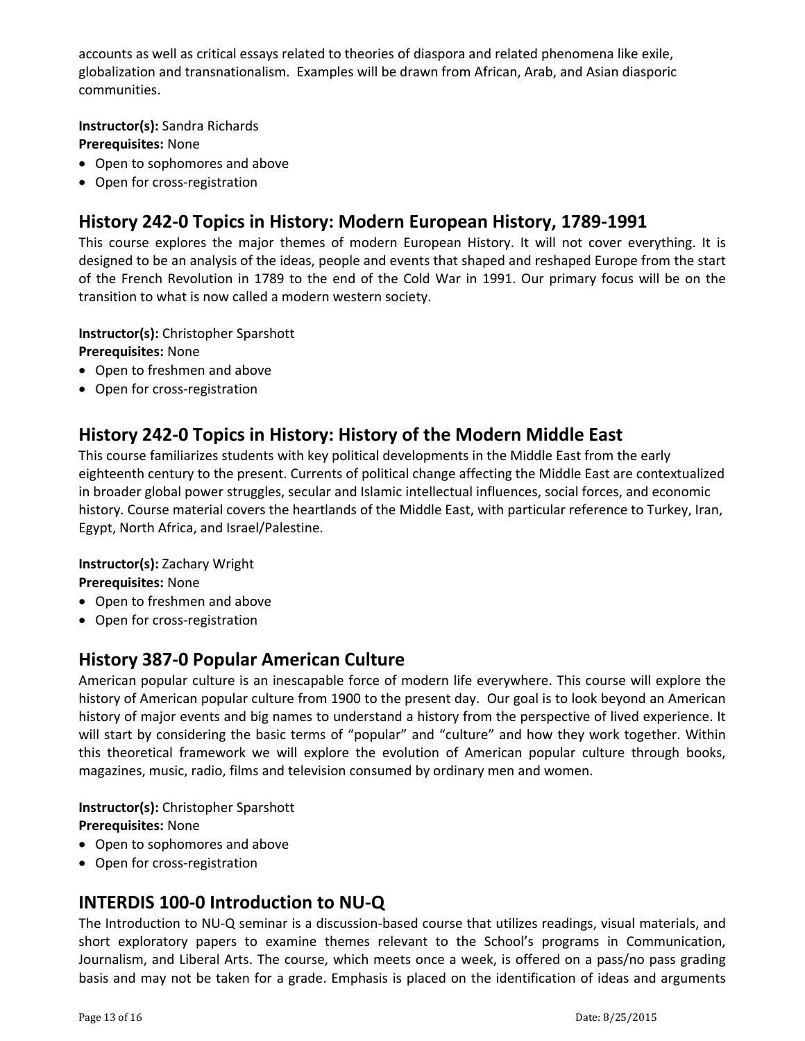accounts as well as critical essays related to theories of diaspora and related phenomena like exile, globalization and transnationalism. Examples will be drawn from African, Arab, and Asian diasporic communities.

**Instructor(s):** Sandra Richards **Prerequisites:** None

- Open to sophomores and above
- Open for cross-registration

# **History 242‐0 Topics in History: Modern European History, 1789‐1991**

This course explores the major themes of modern European History. It will not cover everything. It is designed to be an analysis of the ideas, people and events that shaped and reshaped Europe from the start of the French Revolution in 1789 to the end of the Cold War in 1991. Our primary focus will be on the transition to what is now called a modern western society.

**Instructor(s):** Christopher Sparshott

**Prerequisites:** None

- Open to freshmen and above
- Open for cross-registration

### **History 242‐0 Topics in History: History of the Modern Middle East**

This course familiarizes students with key political developments in the Middle East from the early eighteenth century to the present. Currents of political change affecting the Middle East are contextualized in broader global power struggles, secular and Islamic intellectual influences, social forces, and economic history. Course material covers the heartlands of the Middle East, with particular reference to Turkey, Iran, Egypt, North Africa, and Israel/Palestine.

**Instructor(s):** Zachary Wright

**Prerequisites:** None

- Open to freshmen and above
- Open for cross-registration

# **History 387‐0 Popular American Culture**

American popular culture is an inescapable force of modern life everywhere. This course will explore the history of American popular culture from 1900 to the present day. Our goal is to look beyond an American history of major events and big names to understand a history from the perspective of lived experience. It will start by considering the basic terms of "popular" and "culture" and how they work together. Within this theoretical framework we will explore the evolution of American popular culture through books, magazines, music, radio, films and television consumed by ordinary men and women.

**Instructor(s):** Christopher Sparshott

**Prerequisites:** None Open to sophomores and above

● Open for cross-registration

# **INTERDIS 100‐0 Introduction to NU‐Q**

The Introduction to NU-Q seminar is a discussion-based course that utilizes readings, visual materials, and short exploratory papers to examine themes relevant to the School's programs in Communication, Journalism, and Liberal Arts. The course, which meets once a week, is offered on a pass/no pass grading basis and may not be taken for a grade. Emphasis is placed on the identification of ideas and arguments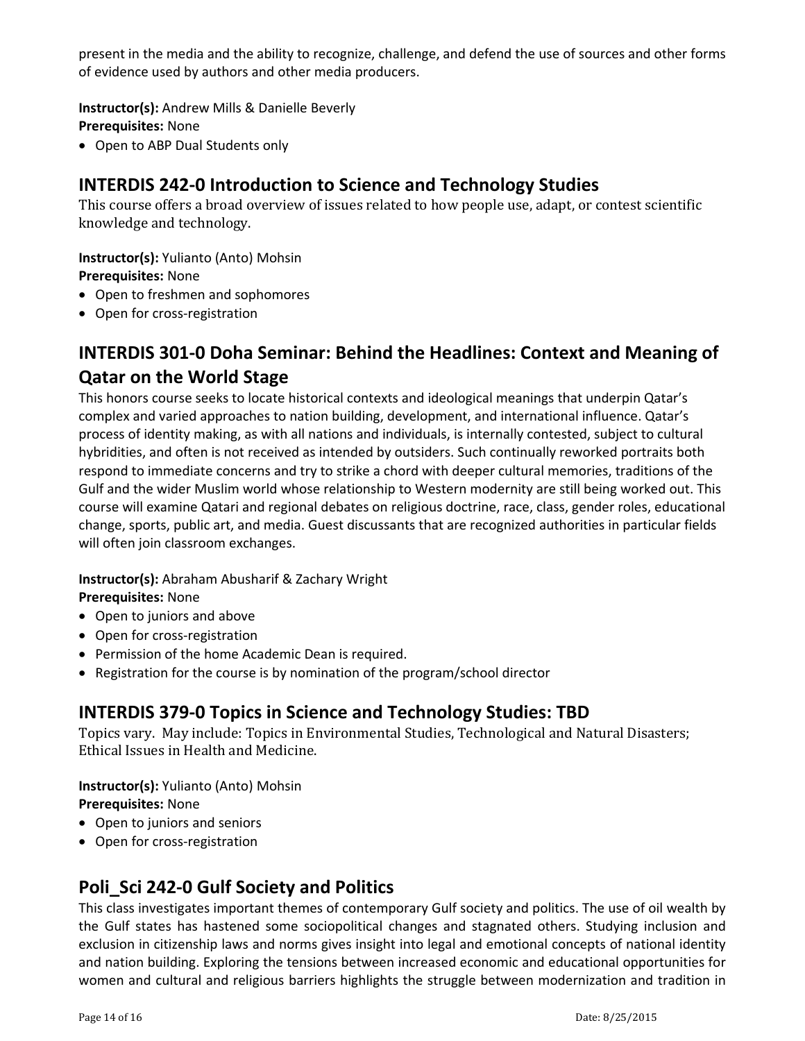present in the media and the ability to recognize, challenge, and defend the use of sources and other forms of evidence used by authors and other media producers.

**Instructor(s):** Andrew Mills & Danielle Beverly

**Prerequisites:** None

• Open to ABP Dual Students only

# **INTERDIS 242‐0 Introduction to Science and Technology Studies**

This course offers a broad overview of issues related to how people use, adapt, or contest scientific knowledge and technology.

**Instructor(s):** Yulianto (Anto) Mohsin

**Prerequisites:** None

- Open to freshmen and sophomores
- Open for cross-registration

# **INTERDIS 301‐0 Doha Seminar: Behind the Headlines: Context and Meaning of Qatar on the World Stage**

This honors course seeks to locate historical contexts and ideological meanings that underpin Qatar's complex and varied approaches to nation building, development, and international influence. Qatar's process of identity making, as with all nations and individuals, is internally contested, subject to cultural hybridities, and often is not received as intended by outsiders. Such continually reworked portraits both respond to immediate concerns and try to strike a chord with deeper cultural memories, traditions of the Gulf and the wider Muslim world whose relationship to Western modernity are still being worked out. This course will examine Qatari and regional debates on religious doctrine, race, class, gender roles, educational change, sports, public art, and media. Guest discussants that are recognized authorities in particular fields will often join classroom exchanges.

**Instructor(s):** Abraham Abusharif & Zachary Wright

**Prerequisites:** None

- Open to juniors and above
- Open for cross-registration
- Permission of the home Academic Dean is required.
- Registration for the course is by nomination of the program/school director

# **INTERDIS 379‐0 Topics in Science and Technology Studies: TBD**

Topics vary. May include: Topics in Environmental Studies, Technological and Natural Disasters; Ethical Issues in Health and Medicine.

**Instructor(s):** Yulianto (Anto) Mohsin **Prerequisites:** None

- Open to juniors and seniors
- Open for cross-registration

# **Poli\_Sci 242‐0 Gulf Society and Politics**

This class investigates important themes of contemporary Gulf society and politics. The use of oil wealth by the Gulf states has hastened some sociopolitical changes and stagnated others. Studying inclusion and exclusion in citizenship laws and norms gives insight into legal and emotional concepts of national identity and nation building. Exploring the tensions between increased economic and educational opportunities for women and cultural and religious barriers highlights the struggle between modernization and tradition in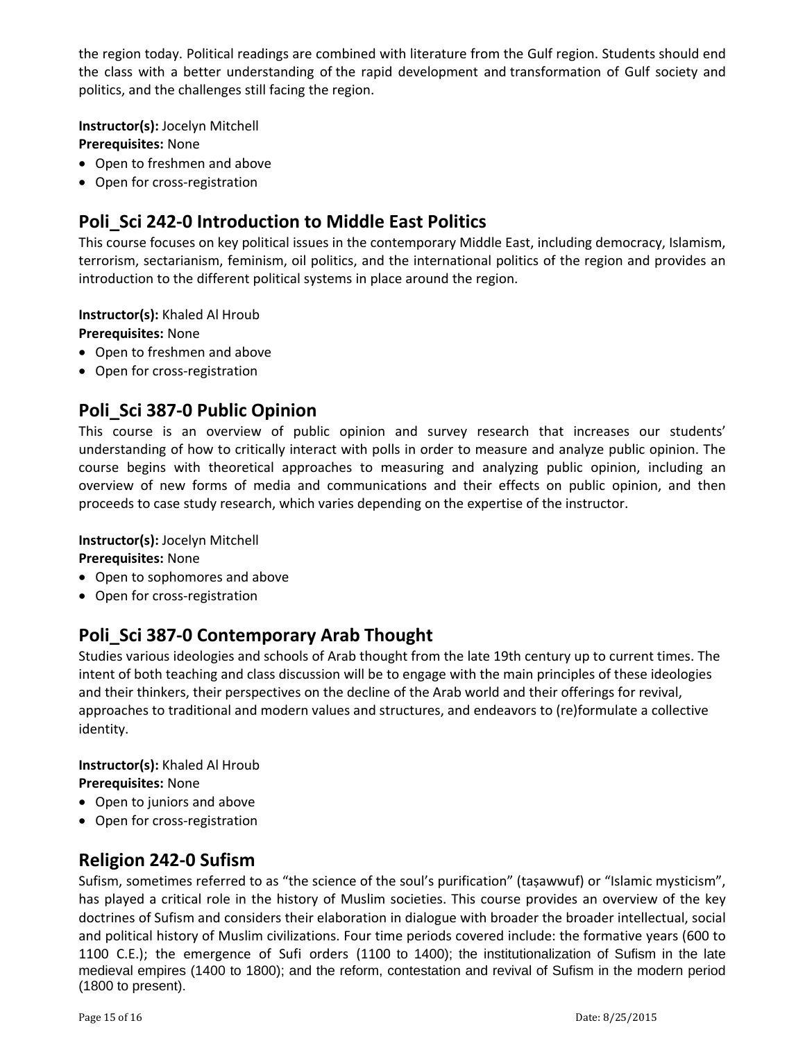the region today. Political readings are combined with literature from the Gulf region. Students should end the class with a better understanding of the rapid development and transformation of Gulf society and politics, and the challenges still facing the region.

**Instructor(s):** Jocelyn Mitchell **Prerequisites:** None

- Open to freshmen and above
- Open for cross-registration

# **Poli\_Sci 242‐0 Introduction to Middle East Politics**

This course focuses on key political issues in the contemporary Middle East, including democracy, Islamism, terrorism, sectarianism, feminism, oil politics, and the international politics of the region and provides an introduction to the different political systems in place around the region.

**Instructor(s):** Khaled Al Hroub

**Prerequisites:** None

- Open to freshmen and above
- Open for cross-registration

### **Poli\_Sci 387‐0 Public Opinion**

This course is an overview of public opinion and survey research that increases our students' understanding of how to critically interact with polls in order to measure and analyze public opinion. The course begins with theoretical approaches to measuring and analyzing public opinion, including an overview of new forms of media and communications and their effects on public opinion, and then proceeds to case study research, which varies depending on the expertise of the instructor.

**Instructor(s):** Jocelyn Mitchell

**Prerequisites:** None

- Open to sophomores and above
- Open for cross-registration

# **Poli\_Sci 387‐0 Contemporary Arab Thought**

Studies various ideologies and schools of Arab thought from the late 19th century up to current times. The intent of both teaching and class discussion will be to engage with the main principles of these ideologies and their thinkers, their perspectives on the decline of the Arab world and their offerings for revival, approaches to traditional and modern values and structures, and endeavors to (re)formulate a collective identity.

#### **Instructor(s):** Khaled Al Hroub **Prerequisites:** None

- Open to juniors and above
- Open for cross-registration

# **Religion 242‐0 Sufism**

Sufism, sometimes referred to as "the science of the soul's purification" (taṣawwuf) or "Islamic mysticism", has played a critical role in the history of Muslim societies. This course provides an overview of the key doctrines of Sufism and considers their elaboration in dialogue with broader the broader intellectual, social and political history of Muslim civilizations. Four time periods covered include: the formative years (600 to 1100 C.E.); the emergence of Sufi orders (1100 to 1400); the institutionalization of Sufism in the late medieval empires (1400 to 1800); and the reform, contestation and revival of Sufism in the modern period (1800 to present).